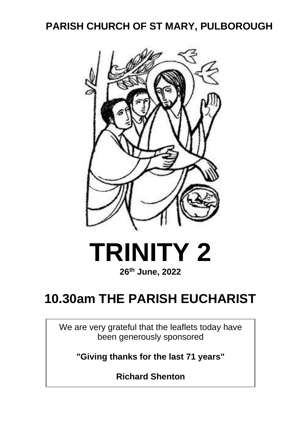# **PARISH CHURCH OF ST MARY, PULBOROUGH**





# **10.30am THE PARISH EUCHARIST**

We are very grateful that the leaflets today have been generously sponsored

**"Giving thanks for the last 71 years"**

**Richard Shenton**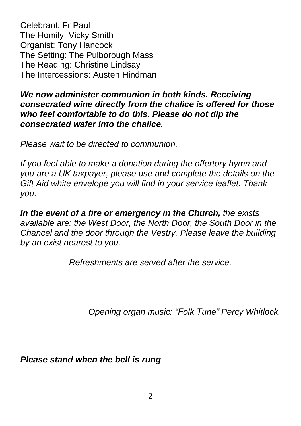Celebrant: Fr Paul The Homily: Vicky Smith Organist: Tony Hancock The Setting: The Pulborough Mass The Reading: Christine Lindsay The Intercessions: Austen Hindman

#### *We now administer communion in both kinds. Receiving consecrated wine directly from the chalice is offered for those who feel comfortable to do this. Please do not dip the consecrated wafer into the chalice.*

*Please wait to be directed to communion.*

*If you feel able to make a donation during the offertory hymn and you are a UK taxpayer, please use and complete the details on the Gift Aid white envelope you will find in your service leaflet. Thank you.*

*In the event of a fire or emergency in the Church, the exists available are: the West Door, the North Door, the South Door in the Chancel and the door through the Vestry. Please leave the building by an exist nearest to you.*

*Refreshments are served after the service.* 

 *Opening organ music: "Folk Tune" Percy Whitlock.*

*Please stand when the bell is rung*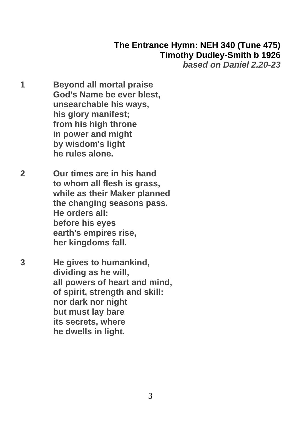# **The Entrance Hymn: NEH 340 (Tune 475) Timothy Dudley-Smith b 1926**

*based on Daniel 2.20-23*

- **1 Beyond all mortal praise God's Name be ever blest, unsearchable his ways, his glory manifest; from his high throne in power and might by wisdom's light he rules alone.**
- **2 Our times are in his hand to whom all flesh is grass, while as their Maker planned the changing seasons pass. He orders all: before his eyes earth's empires rise, her kingdoms fall.**
- **3 He gives to humankind, dividing as he will, all powers of heart and mind, of spirit, strength and skill: nor dark nor night but must lay bare its secrets, where he dwells in light.**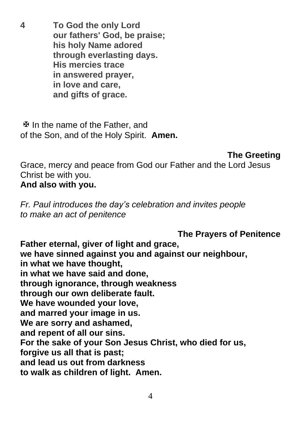**4 To God the only Lord our fathers' God, be praise; his holy Name adored through everlasting days. His mercies trace in answered prayer, in love and care, and gifts of grace.**

 $\mathfrak{B}$  In the name of the Father, and of the Son, and of the Holy Spirit. **Amen.**

**The Greeting**

Grace, mercy and peace from God our Father and the Lord Jesus Christ be with you.

## **And also with you.**

*Fr. Paul introduces the day's celebration and invites people to make an act of penitence*

**The Prayers of Penitence Father eternal, giver of light and grace, we have sinned against you and against our neighbour, in what we have thought, in what we have said and done, through ignorance, through weakness through our own deliberate fault. We have wounded your love, and marred your image in us. We are sorry and ashamed, and repent of all our sins. For the sake of your Son Jesus Christ, who died for us, forgive us all that is past; and lead us out from darkness to walk as children of light. Amen.**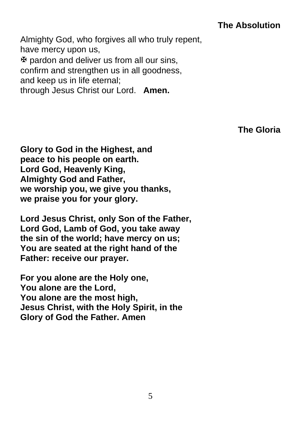### **The Absolution**

Almighty God, who forgives all who truly repent, have mercy upon us,  $\mathfrak F$  pardon and deliver us from all our sins, confirm and strengthen us in all goodness, and keep us in life eternal; through Jesus Christ our Lord. **Amen.**

**The Gloria** 

**Glory to God in the Highest, and peace to his people on earth. Lord God, Heavenly King, Almighty God and Father, we worship you, we give you thanks, we praise you for your glory.**

**Lord Jesus Christ, only Son of the Father, Lord God, Lamb of God, you take away the sin of the world; have mercy on us; You are seated at the right hand of the Father: receive our prayer.**

**For you alone are the Holy one, You alone are the Lord, You alone are the most high, Jesus Christ, with the Holy Spirit, in the Glory of God the Father. Amen**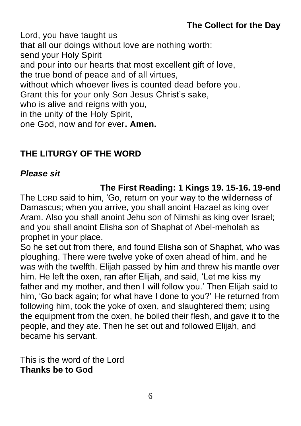Lord, you have taught us that all our doings without love are nothing worth: send your Holy Spirit and pour into our hearts that most excellent gift of love, the true bond of peace and of all virtues, without which whoever lives is counted dead before you. Grant this for your only Son Jesus Christ's sake, who is alive and reigns with you. in the unity of the Holy Spirit, one God, now and for ever**. Amen.**

# **THE LITURGY OF THE WORD**

#### *Please sit*

#### **The First Reading: 1 Kings 19. 15-16. 19-end**

The LORD said to him, 'Go, return on your way to the wilderness of Damascus; when you arrive, you shall anoint Hazael as king over Aram. Also you shall anoint Jehu son of Nimshi as king over Israel; and you shall anoint Elisha son of Shaphat of Abel-meholah as prophet in your place.

So he set out from there, and found Elisha son of Shaphat, who was ploughing. There were twelve yoke of oxen ahead of him, and he was with the twelfth. Elijah passed by him and threw his mantle over him. He left the oxen, ran after Elijah, and said, 'Let me kiss my father and my mother, and then I will follow you.' Then Elijah said to him, 'Go back again; for what have I done to you?' He returned from following him, took the yoke of oxen, and slaughtered them; using the equipment from the oxen, he boiled their flesh, and gave it to the people, and they ate. Then he set out and followed Elijah, and became his servant.

This is the word of the Lord **Thanks be to God**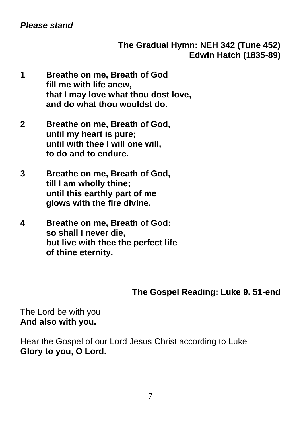#### **The Gradual Hymn: NEH 342 (Tune 452) Edwin Hatch (1835-89)**

- **1 Breathe on me, Breath of God fill me with life anew, that I may love what thou dost love, and do what thou wouldst do.**
- **2 Breathe on me, Breath of God, until my heart is pure; until with thee I will one will, to do and to endure.**
- **3 Breathe on me, Breath of God, till I am wholly thine; until this earthly part of me glows with the fire divine.**
- **4 Breathe on me, Breath of God: so shall I never die, but live with thee the perfect life of thine eternity.**

#### **The Gospel Reading: Luke 9. 51-end**

The Lord be with you **And also with you.**

Hear the Gospel of our Lord Jesus Christ according to Luke **Glory to you, O Lord.**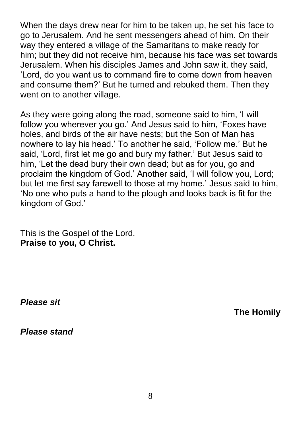When the days drew near for him to be taken up, he set his face to go to Jerusalem. And he sent messengers ahead of him. On their way they entered a village of the Samaritans to make ready for him; but they did not receive him, because his face was set towards Jerusalem. When his disciples James and John saw it, they said, 'Lord, do you want us to command fire to come down from heaven and consume them?' But he turned and rebuked them. Then they went on to another village.

As they were going along the road, someone said to him, 'I will follow you wherever you go.' And Jesus said to him, 'Foxes have holes, and birds of the air have nests; but the Son of Man has nowhere to lay his head.' To another he said, 'Follow me.' But he said, 'Lord, first let me go and bury my father.' But Jesus said to him, 'Let the dead bury their own dead; but as for you, go and proclaim the kingdom of God.' Another said, 'I will follow you, Lord; but let me first say farewell to those at my home.' Jesus said to him, 'No one who puts a hand to the plough and looks back is fit for the kingdom of God.'

This is the Gospel of the Lord. **Praise to you, O Christ.**

*Please sit*

**The Homily**

*Please stand*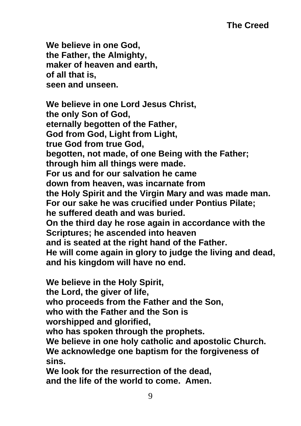**We believe in one God, the Father, the Almighty, maker of heaven and earth, of all that is, seen and unseen.**

**We believe in one Lord Jesus Christ, the only Son of God, eternally begotten of the Father, God from God, Light from Light, true God from true God, begotten, not made, of one Being with the Father; through him all things were made. For us and for our salvation he came down from heaven, was incarnate from the Holy Spirit and the Virgin Mary and was made man. For our sake he was crucified under Pontius Pilate; he suffered death and was buried. On the third day he rose again in accordance with the Scriptures; he ascended into heaven and is seated at the right hand of the Father. He will come again in glory to judge the living and dead, and his kingdom will have no end.**

**We believe in the Holy Spirit,**

**the Lord, the giver of life,**

**who proceeds from the Father and the Son,**

**who with the Father and the Son is**

**worshipped and glorified,**

**who has spoken through the prophets.**

**We believe in one holy catholic and apostolic Church. We acknowledge one baptism for the forgiveness of sins.**

**We look for the resurrection of the dead, and the life of the world to come. Amen.**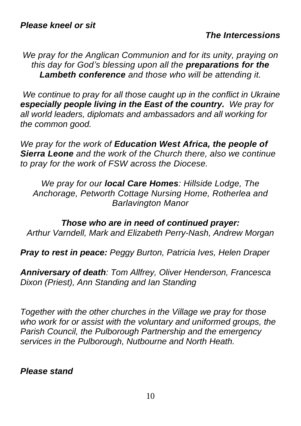*We pray for the Anglican Communion and for its unity, praying on this day for God's blessing upon all the preparations for the Lambeth conference and those who will be attending it.*

*We continue to pray for all those caught up in the conflict in Ukraine especially people living in the East of the country. We pray for all world leaders, diplomats and ambassadors and all working for the common good.*

*We pray for the work of Education West Africa, the people of Sierra Leone and the work of the Church there, also we continue to pray for the work of FSW across the Diocese.*

*We pray for our local Care Homes: Hillside Lodge, The Anchorage, Petworth Cottage Nursing Home, Rotherlea and Barlavington Manor*

*Those who are in need of continued prayer: Arthur Varndell, Mark and Elizabeth Perry-Nash, Andrew Morgan*

*Pray to rest in peace: Peggy Burton, Patricia Ives, Helen Draper*

*Anniversary of death: Tom Allfrey, Oliver Henderson, Francesca Dixon (Priest), Ann Standing and Ian Standing*

*Together with the other churches in the Village we pray for those who work for or assist with the voluntary and uniformed groups, the Parish Council, the Pulborough Partnership and the emergency services in the Pulborough, Nutbourne and North Heath.*

*Please stand*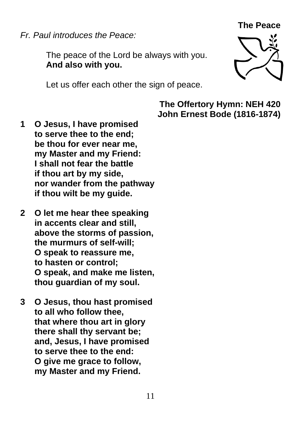**The Peace**

*Fr. Paul introduces the Peace:*

The peace of the Lord be always with you. **And also with you.**

Let us offer each other the sign of peace.



**The Offertory Hymn: NEH 420 John Ernest Bode (1816-1874)**

- **1 O Jesus, I have promised to serve thee to the end; be thou for ever near me, my Master and my Friend: I shall not fear the battle if thou art by my side, nor wander from the pathway if thou wilt be my guide.**
- **2 O let me hear thee speaking in accents clear and still, above the storms of passion, the murmurs of self-will; O speak to reassure me, to hasten or control; O speak, and make me listen, thou guardian of my soul.**
- **3 O Jesus, thou hast promised to all who follow thee, that where thou art in glory there shall thy servant be; and, Jesus, I have promised to serve thee to the end: O give me grace to follow, my Master and my Friend.**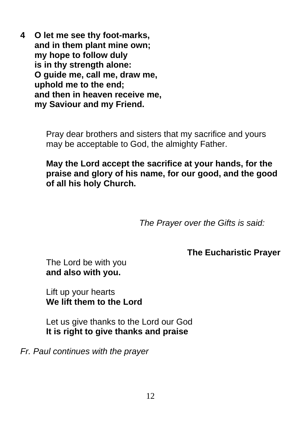**4 O let me see thy foot-marks, and in them plant mine own; my hope to follow duly is in thy strength alone: O guide me, call me, draw me, uphold me to the end; and then in heaven receive me, my Saviour and my Friend.**

> Pray dear brothers and sisters that my sacrifice and yours may be acceptable to God, the almighty Father.

**May the Lord accept the sacrifice at your hands, for the praise and glory of his name, for our good, and the good of all his holy Church.**

*The Prayer over the Gifts is said:*

**The Eucharistic Prayer**

The Lord be with you **and also with you.**

Lift up your hearts **We lift them to the Lord**

Let us give thanks to the Lord our God **It is right to give thanks and praise**

*Fr. Paul continues with the prayer*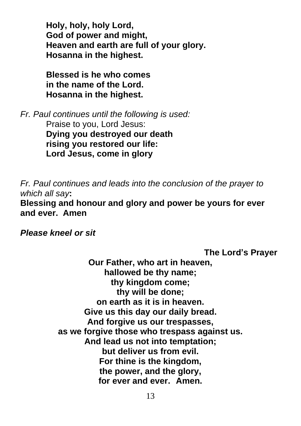**Holy, holy, holy Lord, God of power and might, Heaven and earth are full of your glory. Hosanna in the highest.**

**Blessed is he who comes in the name of the Lord. Hosanna in the highest.**

*Fr. Paul continues until the following is used:*

Praise to you, Lord Jesus: **Dying you destroyed our death rising you restored our life: Lord Jesus, come in glory**

*Fr. Paul continues and leads into the conclusion of the prayer to which all say***:**

**Blessing and honour and glory and power be yours for ever and ever. Amen**

*Please kneel or sit*

**The Lord's Prayer**

**Our Father, who art in heaven, hallowed be thy name; thy kingdom come; thy will be done; on earth as it is in heaven. Give us this day our daily bread. And forgive us our trespasses, as we forgive those who trespass against us. And lead us not into temptation; but deliver us from evil. For thine is the kingdom, the power, and the glory, for ever and ever. Amen.**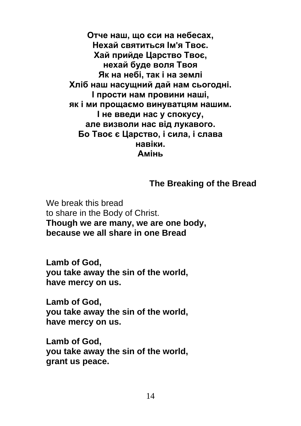**Отче наш, що єси на небесах, Нехай святиться Ім'я Твоє. Хай прийде Царство Твоє, нехай буде воля Твоя Як на небі, так і на землі Хліб наш насущний дай нам сьогодні. І прости нам провини наші, як і ми прощаємо винуватцям нашим. І не введи нас у спокусу, але визволи нас від лукавого. Бо Твоє є Царство, і сила, і слава навіки. Амінь**

#### **The Breaking of the Bread**

We break this bread to share in the Body of Christ. **Though we are many, we are one body, because we all share in one Bread**

**Lamb of God, you take away the sin of the world, have mercy on us.**

**Lamb of God, you take away the sin of the world, have mercy on us.**

**Lamb of God, you take away the sin of the world, grant us peace.**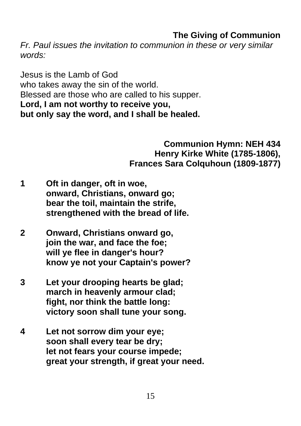## **The Giving of Communion**

*Fr. Paul issues the invitation to communion in these or very similar words:*

Jesus is the Lamb of God who takes away the sin of the world. Blessed are those who are called to his supper. **Lord, I am not worthy to receive you, but only say the word, and I shall be healed.**

> **Communion Hymn: NEH 434 Henry Kirke White (1785-1806), Frances Sara Colquhoun (1809-1877)**

- **1 Oft in danger, oft in woe, onward, Christians, onward go; bear the toil, maintain the strife, strengthened with the bread of life.**
- **2 Onward, Christians onward go, join the war, and face the foe; will ye flee in danger's hour? know ye not your Captain's power?**
- **3 Let your drooping hearts be glad; march in heavenly armour clad; fight, nor think the battle long: victory soon shall tune your song.**
- **4 Let not sorrow dim your eye; soon shall every tear be dry; let not fears your course impede; great your strength, if great your need.**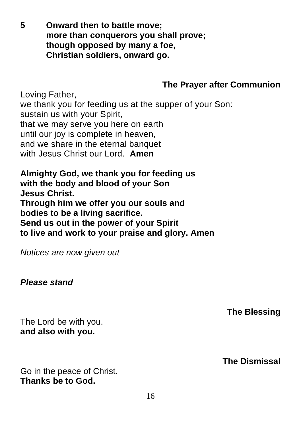**5 Onward then to battle move; more than conquerors you shall prove; though opposed by many a foe, Christian soldiers, onward go.**

# **The Prayer after Communion**

Loving Father, we thank you for feeding us at the supper of your Son: sustain us with your Spirit, that we may serve you here on earth until our joy is complete in heaven. and we share in the eternal banquet with Jesus Christ our Lord. **Amen**

**Almighty God, we thank you for feeding us with the body and blood of your Son Jesus Christ. Through him we offer you our souls and bodies to be a living sacrifice. Send us out in the power of your Spirit to live and work to your praise and glory. Amen**

*Notices are now given out*

#### *Please stand*

The Lord be with you. **and also with you.**

Go in the peace of Christ. **Thanks be to God.**

#### **The Blessing**

**The Dismissal**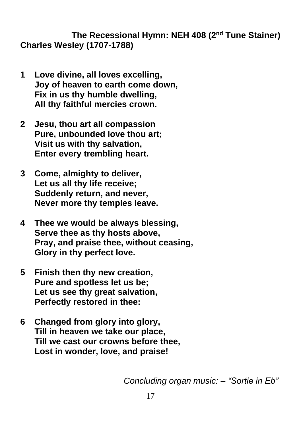**The Recessional Hymn: NEH 408 (2nd Tune Stainer) Charles Wesley (1707-1788)**

- **1 Love divine, all loves excelling, Joy of heaven to earth come down, Fix in us thy humble dwelling, All thy faithful mercies crown.**
- **2 Jesu, thou art all compassion Pure, unbounded love thou art; Visit us with thy salvation, Enter every trembling heart.**
- **3 Come, almighty to deliver, Let us all thy life receive; Suddenly return, and never, Never more thy temples leave.**
- **4 Thee we would be always blessing, Serve thee as thy hosts above, Pray, and praise thee, without ceasing, Glory in thy perfect love.**
- **5 Finish then thy new creation, Pure and spotless let us be; Let us see thy great salvation, Perfectly restored in thee:**
- **6 Changed from glory into glory, Till in heaven we take our place, Till we cast our crowns before thee, Lost in wonder, love, and praise!**

 *Concluding organ music: – "Sortie in Eb"*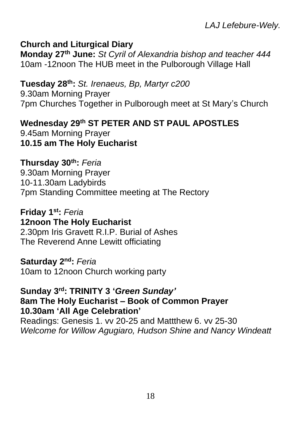#### **Church and Liturgical Diary**

**Monday 27 th June:** *St Cyril of Alexandria bishop and teacher 444* 10am -12noon The HUB meet in the Pulborough Village Hall

#### **Tuesday 28 th:** *St. Irenaeus, Bp, Martyr c200*

9.30am Morning Prayer 7pm Churches Together in Pulborough meet at St Mary's Church

## **Wednesday 29th ST PETER AND ST PAUL APOSTLES** 9.45am Morning Prayer

**10.15 am The Holy Eucharist**

#### **Thursday 30th:** *Feria*

9.30am Morning Prayer 10-11.30am Ladybirds 7pm Standing Committee meeting at The Rectory

#### **Friday 1 st:** *Feria* **12noon The Holy Eucharist** 2.30pm Iris Gravett R.I.P. Burial of Ashes The Reverend Anne Lewitt officiating

#### **Saturday 2 nd:** *Feria*

10am to 12noon Church working party

# **Sunday 3 rd: TRINITY 3 '***Green Sunday'*

#### **8am The Holy Eucharist – Book of Common Prayer 10.30am 'All Age Celebration'**

Readings: Genesis 1. vv 20-25 and Mattthew 6. vv 25-30 *Welcome for Willow Agugiaro, Hudson Shine and Nancy Windeatt*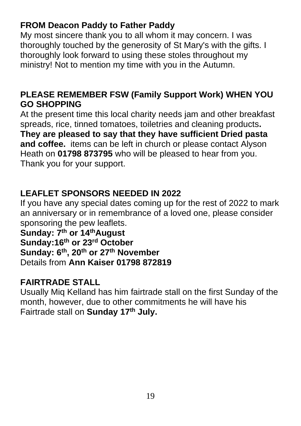# **FROM Deacon Paddy to Father Paddy**

My most sincere thank you to all whom it may concern. I was thoroughly touched by the generosity of St Mary's with the gifts. I thoroughly look forward to using these stoles throughout my ministry! Not to mention my time with you in the Autumn.

## **PLEASE REMEMBER FSW (Family Support Work) WHEN YOU GO SHOPPING**

At the present time this local charity needs jam and other breakfast spreads, rice, tinned tomatoes, toiletries and cleaning products**. They are pleased to say that they have sufficient Dried pasta and coffee.** items can be left in church or please contact Alyson Heath on **01798 873795** who will be pleased to hear from you. Thank you for your support.

# **LEAFLET SPONSORS NEEDED IN 2022**

If you have any special dates coming up for the rest of 2022 to mark an anniversary or in remembrance of a loved one, please consider sponsoring the pew leaflets.

**Sunday: 7 th or 14thAugust Sunday:16th or 23rd October Sunday: 6th , 20th or 27th November** Details from **Ann Kaiser 01798 872819**

# **FAIRTRADE STALL**

Usually Miq Kelland has him fairtrade stall on the first Sunday of the month, however, due to other commitments he will have his Fairtrade stall on **Sunday 17th July.**